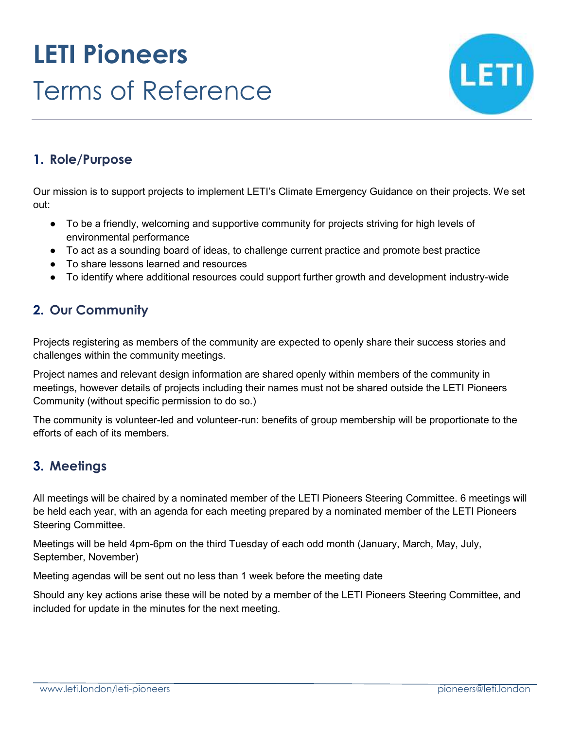# **LETI Pioneers** Terms of Reference



# **1. Role/Purpose**

Our mission is to support projects to implement LETI's Climate Emergency Guidance on their projects. We set out:

- To be a friendly, welcoming and supportive community for projects striving for high levels of environmental performance
- To act as a sounding board of ideas, to challenge current practice and promote best practice
- To share lessons learned and resources
- To identify where additional resources could support further growth and development industry-wide

# **2. Our Community**

Projects registering as members of the community are expected to openly share their success stories and challenges within the community meetings.

Project names and relevant design information are shared openly within members of the community in meetings, however details of projects including their names must not be shared outside the LETI Pioneers Community (without specific permission to do so.)

The community is volunteer-led and volunteer-run: benefits of group membership will be proportionate to the efforts of each of its members.

# **3. Meetings**

All meetings will be chaired by a nominated member of the LETI Pioneers Steering Committee. 6 meetings will be held each year, with an agenda for each meeting prepared by a nominated member of the LETI Pioneers Steering Committee.

Meetings will be held 4pm-6pm on the third Tuesday of each odd month (January, March, May, July, September, November)

Meeting agendas will be sent out no less than 1 week before the meeting date

Should any key actions arise these will be noted by a member of the LETI Pioneers Steering Committee, and included for update in the minutes for the next meeting.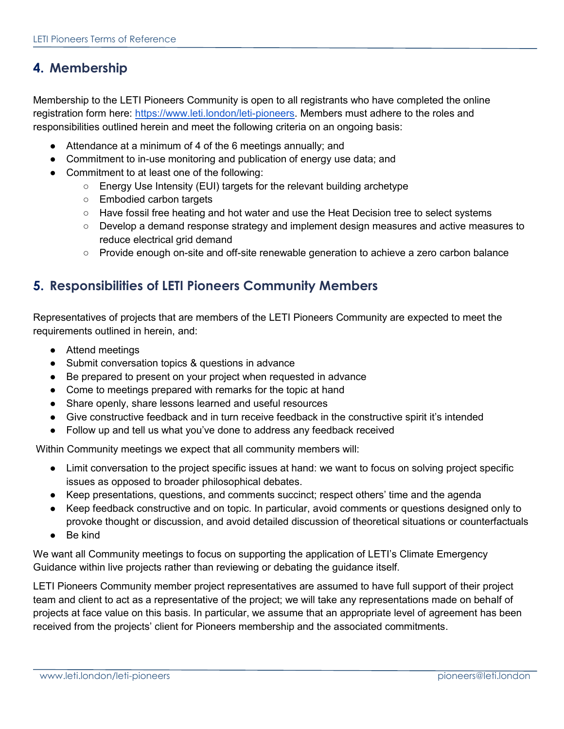# **4. Membership**

Membership to the LETI Pioneers Community is open to all registrants who have completed the online registration form here[:](https://www.leti.london/leti-pioneers) [https://www.leti.london/leti-pioneers.](https://www.leti.london/leti-pioneers) Members must adhere to the roles and responsibilities outlined herein and meet the following criteria on an ongoing basis:

- Attendance at a minimum of 4 of the 6 meetings annually; and
- Commitment to in-use monitoring and publication of energy use data; and
- Commitment to at least one of the following:
	- Energy Use Intensity (EUI) targets for the relevant building archetype
	- Embodied carbon targets
	- Have fossil free heating and hot water and use the Heat Decision tree to select systems
	- Develop a demand response strategy and implement design measures and active measures to reduce electrical grid demand
	- Provide enough on-site and off-site renewable generation to achieve a zero carbon balance

#### **5. Responsibilities of LETI Pioneers Community Members**

Representatives of projects that are members of the LETI Pioneers Community are expected to meet the requirements outlined in herein, and:

- Attend meetings
- Submit conversation topics & questions in advance
- Be prepared to present on your project when requested in advance
- Come to meetings prepared with remarks for the topic at hand
- Share openly, share lessons learned and useful resources
- Give constructive feedback and in turn receive feedback in the constructive spirit it's intended
- Follow up and tell us what you've done to address any feedback received

Within Community meetings we expect that all community members will:

- Limit conversation to the project specific issues at hand: we want to focus on solving project specific issues as opposed to broader philosophical debates.
- Keep presentations, questions, and comments succinct; respect others' time and the agenda
- Keep feedback constructive and on topic. In particular, avoid comments or questions designed only to provoke thought or discussion, and avoid detailed discussion of theoretical situations or counterfactuals
- Be kind

We want all Community meetings to focus on supporting the application of LETI's Climate Emergency Guidance within live projects rather than reviewing or debating the guidance itself.

LETI Pioneers Community member project representatives are assumed to have full support of their project team and client to act as a representative of the project; we will take any representations made on behalf of projects at face value on this basis. In particular, we assume that an appropriate level of agreement has been received from the projects' client for Pioneers membership and the associated commitments.